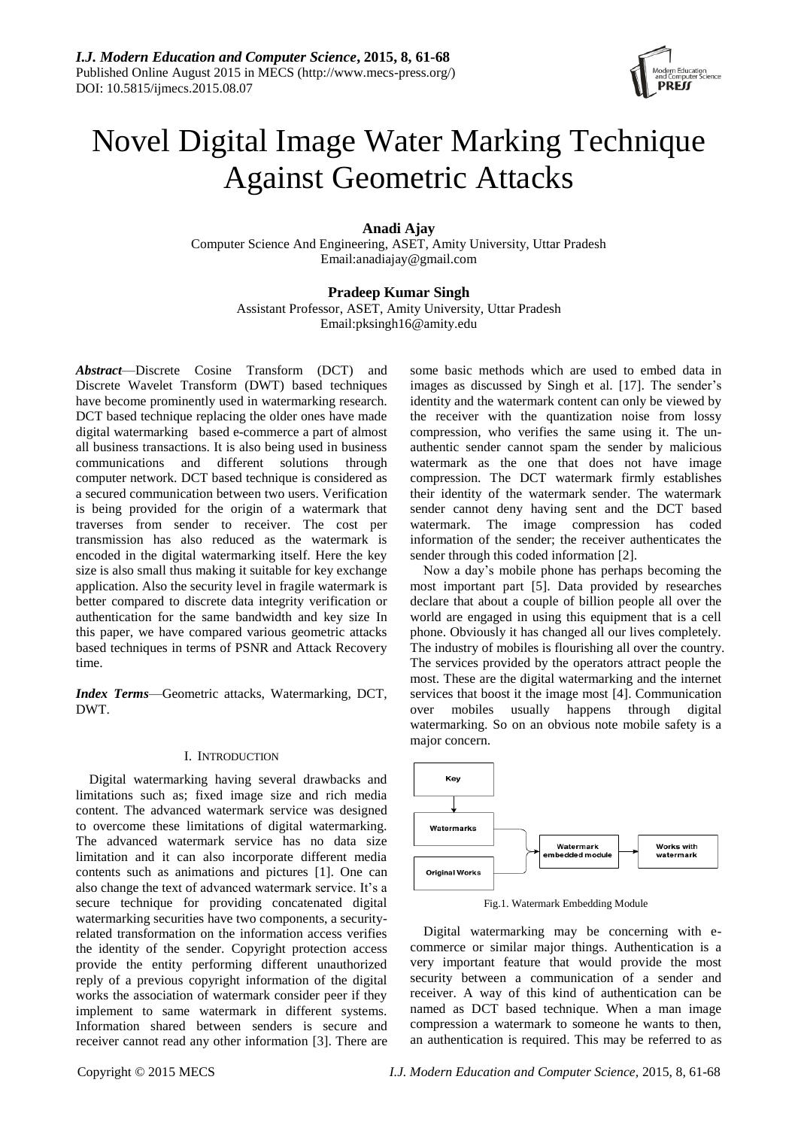

# Novel Digital Image Water Marking Technique Against Geometric Attacks

**Anadi Ajay**

Computer Science And Engineering, ASET, Amity University, Uttar Pradesh Email:anadiajay@gmail.com

# **Pradeep Kumar Singh**

Assistant Professor, ASET, Amity University, Uttar Pradesh Email:pksingh16@amity.edu

*Abstract*—Discrete Cosine Transform (DCT) and Discrete Wavelet Transform (DWT) based techniques have become prominently used in watermarking research. DCT based technique replacing the older ones have made digital watermarking based e-commerce a part of almost all business transactions. It is also being used in business communications and different solutions through computer network. DCT based technique is considered as a secured communication between two users. Verification is being provided for the origin of a watermark that traverses from sender to receiver. The cost per transmission has also reduced as the watermark is encoded in the digital watermarking itself. Here the key size is also small thus making it suitable for key exchange application. Also the security level in fragile watermark is better compared to discrete data integrity verification or authentication for the same bandwidth and key size In this paper, we have compared various geometric attacks based techniques in terms of PSNR and Attack Recovery time.

*Index Terms*—Geometric attacks, Watermarking, DCT, DWT.

# I. INTRODUCTION

Digital watermarking having several drawbacks and limitations such as; fixed image size and rich media content. The advanced watermark service was designed to overcome these limitations of digital watermarking. The advanced watermark service has no data size limitation and it can also incorporate different media contents such as animations and pictures [1]. One can also change the text of advanced watermark service. It's a secure technique for providing concatenated digital watermarking securities have two components, a securityrelated transformation on the information access verifies the identity of the sender. Copyright protection access provide the entity performing different unauthorized reply of a previous copyright information of the digital works the association of watermark consider peer if they implement to same watermark in different systems. Information shared between senders is secure and receiver cannot read any other information [3]. There are

some basic methods which are used to embed data in images as discussed by Singh et al. [17]. The sender's identity and the watermark content can only be viewed by the receiver with the quantization noise from lossy compression, who verifies the same using it. The unauthentic sender cannot spam the sender by malicious watermark as the one that does not have image compression. The DCT watermark firmly establishes their identity of the watermark sender. The watermark sender cannot deny having sent and the DCT based watermark. The image compression has coded information of the sender; the receiver authenticates the sender through this coded information [2].

Now a day's mobile phone has perhaps becoming the most important part [5]. Data provided by researches declare that about a couple of billion people all over the world are engaged in using this equipment that is a cell phone. Obviously it has changed all our lives completely. The industry of mobiles is flourishing all over the country. The services provided by the operators attract people the most. These are the digital watermarking and the internet services that boost it the image most [4]. Communication over mobiles usually happens through digital watermarking. So on an obvious note mobile safety is a major concern.



Fig.1. Watermark Embedding Module

Digital watermarking may be concerning with ecommerce or similar major things. Authentication is a very important feature that would provide the most security between a communication of a sender and receiver. A way of this kind of authentication can be named as DCT based technique. When a man image compression a watermark to someone he wants to then, an authentication is required. This may be referred to as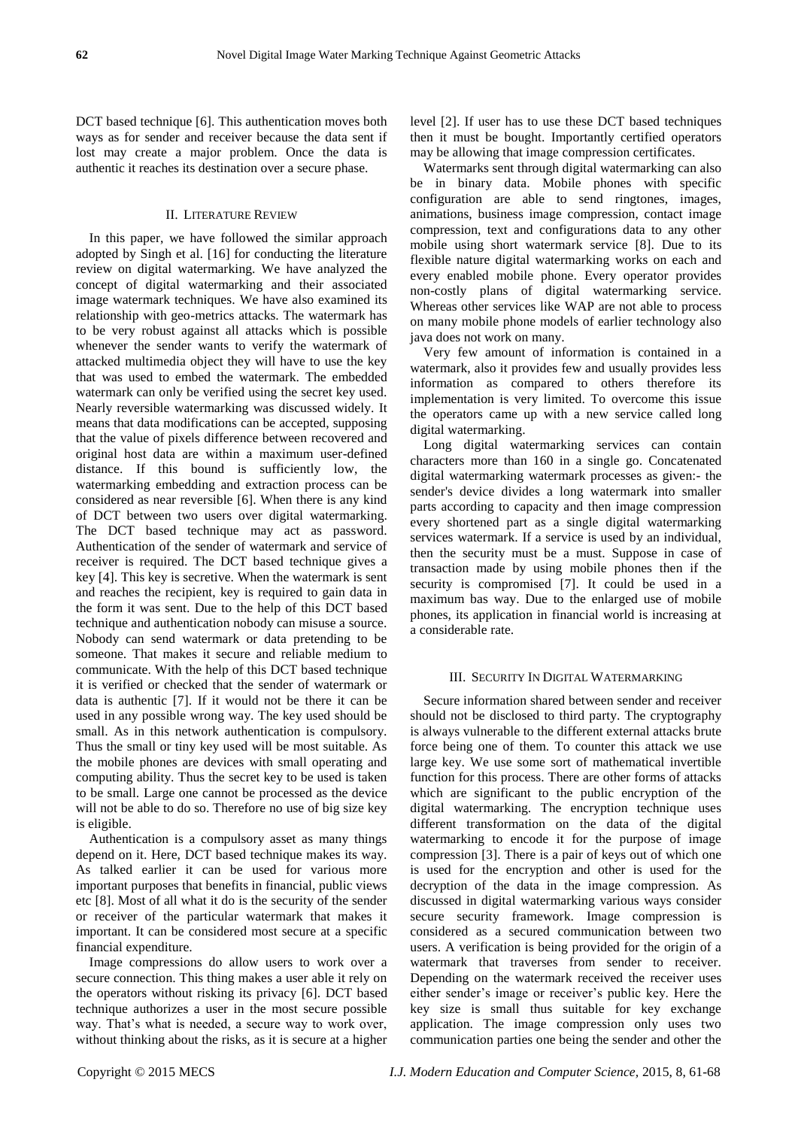DCT based technique [6]. This authentication moves both ways as for sender and receiver because the data sent if lost may create a major problem. Once the data is authentic it reaches its destination over a secure phase.

## II. LITERATURE REVIEW

In this paper, we have followed the similar approach adopted by Singh et al. [16] for conducting the literature review on digital watermarking. We have analyzed the concept of digital watermarking and their associated image watermark techniques. We have also examined its relationship with geo-metrics attacks. The watermark has to be very robust against all attacks which is possible whenever the sender wants to verify the watermark of attacked multimedia object they will have to use the key that was used to embed the watermark. The embedded watermark can only be verified using the secret key used. Nearly reversible watermarking was discussed widely. It means that data modifications can be accepted, supposing that the value of pixels difference between recovered and original host data are within a maximum user-defined distance. If this bound is sufficiently low, the watermarking embedding and extraction process can be considered as near reversible [6]. When there is any kind of DCT between two users over digital watermarking. The DCT based technique may act as password. Authentication of the sender of watermark and service of receiver is required. The DCT based technique gives a key [4]. This key is secretive. When the watermark is sent and reaches the recipient, key is required to gain data in the form it was sent. Due to the help of this DCT based technique and authentication nobody can misuse a source. Nobody can send watermark or data pretending to be someone. That makes it secure and reliable medium to communicate. With the help of this DCT based technique it is verified or checked that the sender of watermark or data is authentic [7]. If it would not be there it can be used in any possible wrong way. The key used should be small. As in this network authentication is compulsory. Thus the small or tiny key used will be most suitable. As the mobile phones are devices with small operating and computing ability. Thus the secret key to be used is taken to be small. Large one cannot be processed as the device will not be able to do so. Therefore no use of big size key is eligible.

Authentication is a compulsory asset as many things depend on it. Here, DCT based technique makes its way. As talked earlier it can be used for various more important purposes that benefits in financial, public views etc [8]. Most of all what it do is the security of the sender or receiver of the particular watermark that makes it important. It can be considered most secure at a specific financial expenditure.

Image compressions do allow users to work over a secure connection. This thing makes a user able it rely on the operators without risking its privacy [6]. DCT based technique authorizes a user in the most secure possible way. That's what is needed, a secure way to work over, without thinking about the risks, as it is secure at a higher

level [2]. If user has to use these DCT based techniques then it must be bought. Importantly certified operators may be allowing that image compression certificates.

Watermarks sent through digital watermarking can also be in binary data. Mobile phones with specific configuration are able to send ringtones, images, animations, business image compression, contact image compression, text and configurations data to any other mobile using short watermark service [8]. Due to its flexible nature digital watermarking works on each and every enabled mobile phone. Every operator provides non-costly plans of digital watermarking service. Whereas other services like WAP are not able to process on many mobile phone models of earlier technology also java does not work on many.

Very few amount of information is contained in a watermark, also it provides few and usually provides less information as compared to others therefore its implementation is very limited. To overcome this issue the operators came up with a new service called long digital watermarking.

Long digital watermarking services can contain characters more than 160 in a single go. Concatenated digital watermarking watermark processes as given:- the sender's device divides a long watermark into smaller parts according to capacity and then image compression every shortened part as a single digital watermarking services watermark. If a service is used by an individual, then the security must be a must. Suppose in case of transaction made by using mobile phones then if the security is compromised [7]. It could be used in a maximum bas way. Due to the enlarged use of mobile phones, its application in financial world is increasing at a considerable rate.

#### III. SECURITY IN DIGITAL WATERMARKING

Secure information shared between sender and receiver should not be disclosed to third party. The cryptography is always vulnerable to the different external attacks brute force being one of them. To counter this attack we use large key. We use some sort of mathematical invertible function for this process. There are other forms of attacks which are significant to the public encryption of the digital watermarking. The encryption technique uses different transformation on the data of the digital watermarking to encode it for the purpose of image compression [3]. There is a pair of keys out of which one is used for the encryption and other is used for the decryption of the data in the image compression. As discussed in digital watermarking various ways consider secure security framework. Image compression is considered as a secured communication between two users. A verification is being provided for the origin of a watermark that traverses from sender to receiver. Depending on the watermark received the receiver uses either sender's image or receiver's public key. Here the key size is small thus suitable for key exchange application. The image compression only uses two communication parties one being the sender and other the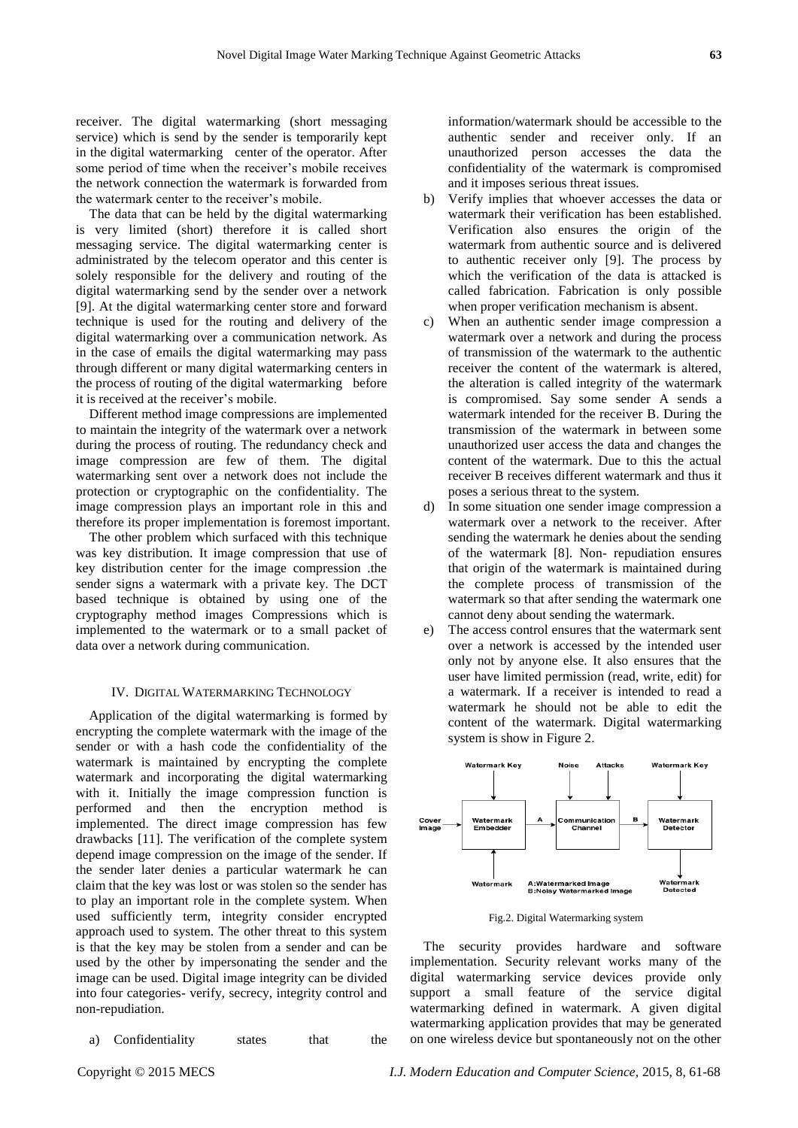receiver. The digital watermarking (short messaging service) which is send by the sender is temporarily kept in the digital watermarking center of the operator. After some period of time when the receiver's mobile receives the network connection the watermark is forwarded from the watermark center to the receiver's mobile.

The data that can be held by the digital watermarking is very limited (short) therefore it is called short messaging service. The digital watermarking center is administrated by the telecom operator and this center is solely responsible for the delivery and routing of the digital watermarking send by the sender over a network [9]. At the digital watermarking center store and forward technique is used for the routing and delivery of the digital watermarking over a communication network. As in the case of emails the digital watermarking may pass through different or many digital watermarking centers in the process of routing of the digital watermarking before it is received at the receiver's mobile.

Different method image compressions are implemented to maintain the integrity of the watermark over a network during the process of routing. The redundancy check and image compression are few of them. The digital watermarking sent over a network does not include the protection or cryptographic on the confidentiality. The image compression plays an important role in this and therefore its proper implementation is foremost important.

The other problem which surfaced with this technique was key distribution. It image compression that use of key distribution center for the image compression .the sender signs a watermark with a private key. The DCT based technique is obtained by using one of the cryptography method images Compressions which is implemented to the watermark or to a small packet of data over a network during communication.

#### IV. DIGITAL WATERMARKING TECHNOLOGY

Application of the digital watermarking is formed by encrypting the complete watermark with the image of the sender or with a hash code the confidentiality of the watermark is maintained by encrypting the complete watermark and incorporating the digital watermarking with it. Initially the image compression function is performed and then the encryption method is implemented. The direct image compression has few drawbacks [11]. The verification of the complete system depend image compression on the image of the sender. If the sender later denies a particular watermark he can claim that the key was lost or was stolen so the sender has to play an important role in the complete system. When used sufficiently term, integrity consider encrypted approach used to system. The other threat to this system is that the key may be stolen from a sender and can be used by the other by impersonating the sender and the image can be used. Digital image integrity can be divided into four categories- verify, secrecy, integrity control and non-repudiation.

a) Confidentiality states that the

information/watermark should be accessible to the authentic sender and receiver only. If an unauthorized person accesses the data the confidentiality of the watermark is compromised and it imposes serious threat issues.

- b) Verify implies that whoever accesses the data or watermark their verification has been established. Verification also ensures the origin of the watermark from authentic source and is delivered to authentic receiver only [9]. The process by which the verification of the data is attacked is called fabrication. Fabrication is only possible when proper verification mechanism is absent.
- c) When an authentic sender image compression a watermark over a network and during the process of transmission of the watermark to the authentic receiver the content of the watermark is altered, the alteration is called integrity of the watermark is compromised. Say some sender A sends a watermark intended for the receiver B. During the transmission of the watermark in between some unauthorized user access the data and changes the content of the watermark. Due to this the actual receiver B receives different watermark and thus it poses a serious threat to the system.
- d) In some situation one sender image compression a watermark over a network to the receiver. After sending the watermark he denies about the sending of the watermark [8]. Non- repudiation ensures that origin of the watermark is maintained during the complete process of transmission of the watermark so that after sending the watermark one cannot deny about sending the watermark.
- e) The access control ensures that the watermark sent over a network is accessed by the intended user only not by anyone else. It also ensures that the user have limited permission (read, write, edit) for a watermark. If a receiver is intended to read a watermark he should not be able to edit the content of the watermark. Digital watermarking system is show in Figure 2.



Fig.2. Digital Watermarking system

The security provides hardware and software implementation. Security relevant works many of the digital watermarking service devices provide only support a small feature of the service digital watermarking defined in watermark. A given digital watermarking application provides that may be generated on one wireless device but spontaneously not on the other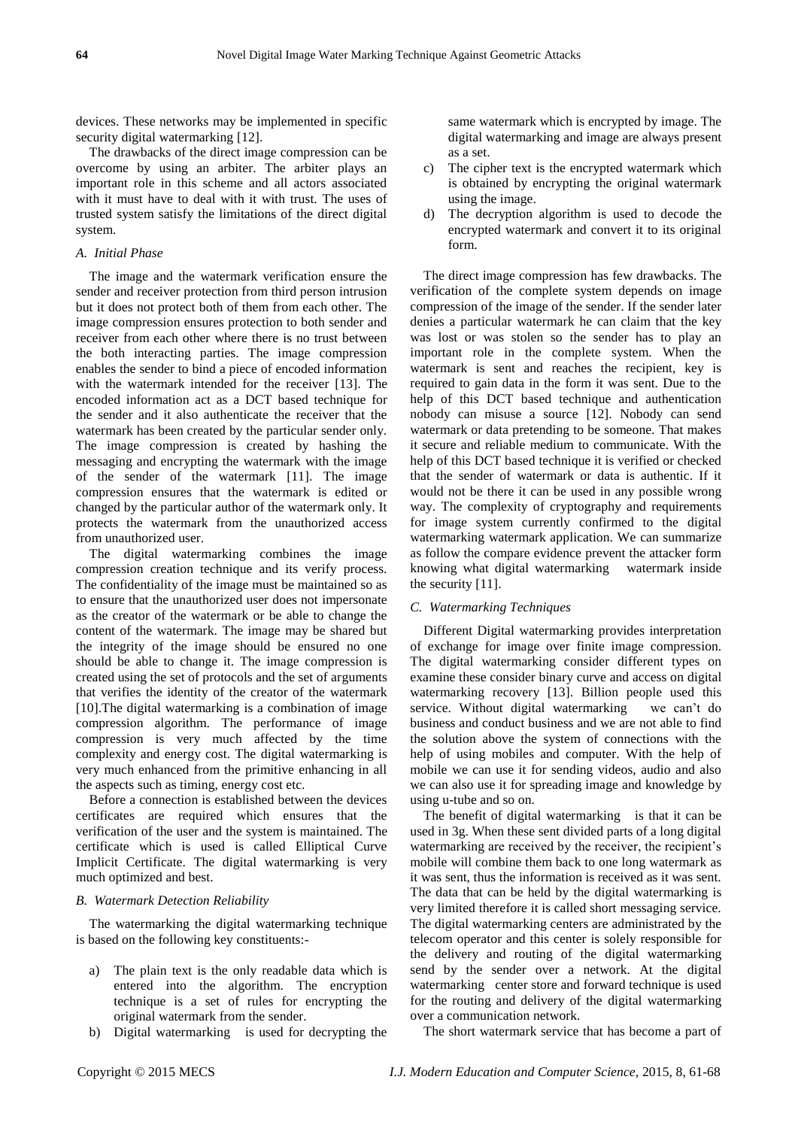devices. These networks may be implemented in specific security digital watermarking [12].

The drawbacks of the direct image compression can be overcome by using an arbiter. The arbiter plays an important role in this scheme and all actors associated with it must have to deal with it with trust. The uses of trusted system satisfy the limitations of the direct digital system.

## *A. Initial Phase*

The image and the watermark verification ensure the sender and receiver protection from third person intrusion but it does not protect both of them from each other. The image compression ensures protection to both sender and receiver from each other where there is no trust between the both interacting parties. The image compression enables the sender to bind a piece of encoded information with the watermark intended for the receiver [13]. The encoded information act as a DCT based technique for the sender and it also authenticate the receiver that the watermark has been created by the particular sender only. The image compression is created by hashing the messaging and encrypting the watermark with the image of the sender of the watermark [11]. The image compression ensures that the watermark is edited or changed by the particular author of the watermark only. It protects the watermark from the unauthorized access from unauthorized user.

The digital watermarking combines the image compression creation technique and its verify process. The confidentiality of the image must be maintained so as to ensure that the unauthorized user does not impersonate as the creator of the watermark or be able to change the content of the watermark. The image may be shared but the integrity of the image should be ensured no one should be able to change it. The image compression is created using the set of protocols and the set of arguments that verifies the identity of the creator of the watermark [10].The digital watermarking is a combination of image compression algorithm. The performance of image compression is very much affected by the time complexity and energy cost. The digital watermarking is very much enhanced from the primitive enhancing in all the aspects such as timing, energy cost etc.

Before a connection is established between the devices certificates are required which ensures that the verification of the user and the system is maintained. The certificate which is used is called Elliptical Curve Implicit Certificate. The digital watermarking is very much optimized and best.

#### *B. Watermark Detection Reliability*

The watermarking the digital watermarking technique is based on the following key constituents:-

- a) The plain text is the only readable data which is entered into the algorithm. The encryption technique is a set of rules for encrypting the original watermark from the sender.
- b) Digital watermarking is used for decrypting the

same watermark which is encrypted by image. The digital watermarking and image are always present as a set.

- c) The cipher text is the encrypted watermark which is obtained by encrypting the original watermark using the image.
- d) The decryption algorithm is used to decode the encrypted watermark and convert it to its original form.

The direct image compression has few drawbacks. The verification of the complete system depends on image compression of the image of the sender. If the sender later denies a particular watermark he can claim that the key was lost or was stolen so the sender has to play an important role in the complete system. When the watermark is sent and reaches the recipient, key is required to gain data in the form it was sent. Due to the help of this DCT based technique and authentication nobody can misuse a source [12]. Nobody can send watermark or data pretending to be someone. That makes it secure and reliable medium to communicate. With the help of this DCT based technique it is verified or checked that the sender of watermark or data is authentic. If it would not be there it can be used in any possible wrong way. The complexity of cryptography and requirements for image system currently confirmed to the digital watermarking watermark application. We can summarize as follow the compare evidence prevent the attacker form knowing what digital watermarking watermark inside the security [11].

# *C. Watermarking Techniques*

Different Digital watermarking provides interpretation of exchange for image over finite image compression. The digital watermarking consider different types on examine these consider binary curve and access on digital watermarking recovery [13]. Billion people used this service. Without digital watermarking we can't do business and conduct business and we are not able to find the solution above the system of connections with the help of using mobiles and computer. With the help of mobile we can use it for sending videos, audio and also we can also use it for spreading image and knowledge by using u-tube and so on.

The benefit of digital watermarking is that it can be used in 3g. When these sent divided parts of a long digital watermarking are received by the receiver, the recipient's mobile will combine them back to one long watermark as it was sent, thus the information is received as it was sent. The data that can be held by the digital watermarking is very limited therefore it is called short messaging service. The digital watermarking centers are administrated by the telecom operator and this center is solely responsible for the delivery and routing of the digital watermarking send by the sender over a network. At the digital watermarking center store and forward technique is used for the routing and delivery of the digital watermarking over a communication network.

The short watermark service that has become a part of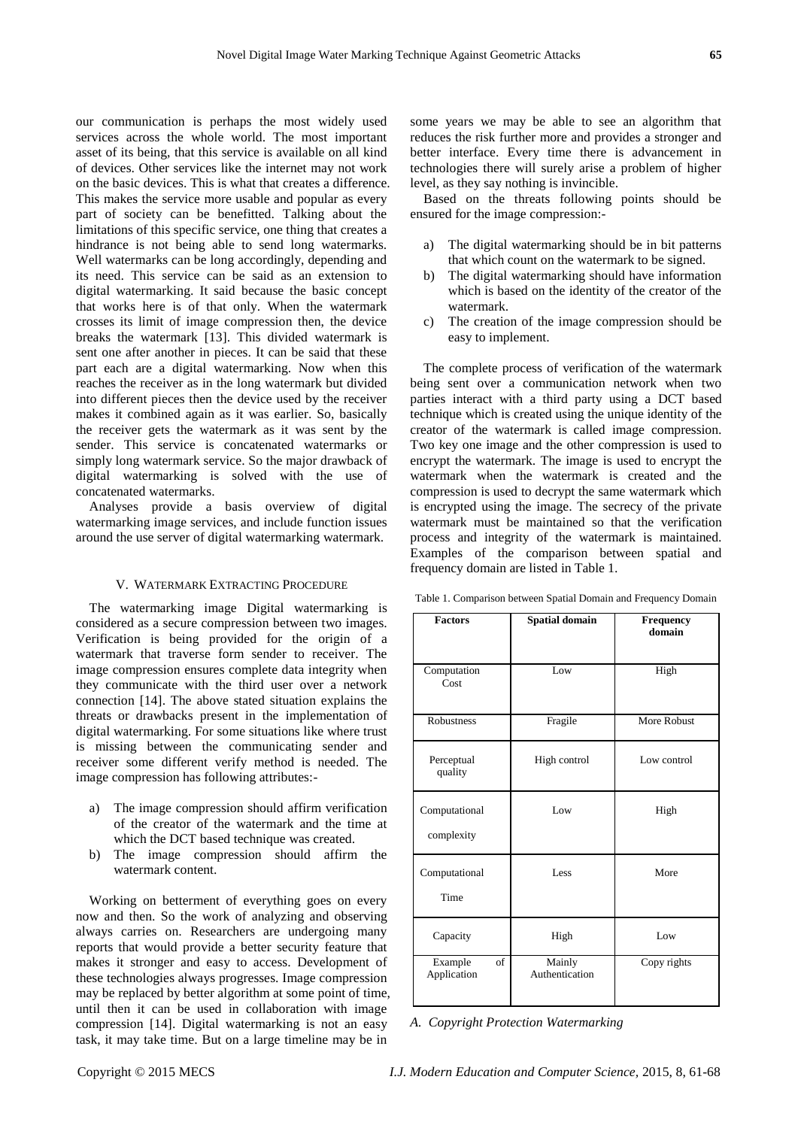our communication is perhaps the most widely used services across the whole world. The most important asset of its being, that this service is available on all kind of devices. Other services like the internet may not work on the basic devices. This is what that creates a difference. This makes the service more usable and popular as every part of society can be benefitted. Talking about the limitations of this specific service, one thing that creates a hindrance is not being able to send long watermarks. Well watermarks can be long accordingly, depending and its need. This service can be said as an extension to digital watermarking. It said because the basic concept that works here is of that only. When the watermark crosses its limit of image compression then, the device breaks the watermark [13]. This divided watermark is sent one after another in pieces. It can be said that these part each are a digital watermarking. Now when this reaches the receiver as in the long watermark but divided into different pieces then the device used by the receiver makes it combined again as it was earlier. So, basically the receiver gets the watermark as it was sent by the sender. This service is concatenated watermarks or simply long watermark service. So the major drawback of digital watermarking is solved with the use of concatenated watermarks.

Analyses provide a basis overview of digital watermarking image services, and include function issues around the use server of digital watermarking watermark.

# V. WATERMARK EXTRACTING PROCEDURE

The watermarking image Digital watermarking is considered as a secure compression between two images. Verification is being provided for the origin of a watermark that traverse form sender to receiver. The image compression ensures complete data integrity when they communicate with the third user over a network connection [14]. The above stated situation explains the threats or drawbacks present in the implementation of digital watermarking. For some situations like where trust is missing between the communicating sender and receiver some different verify method is needed. The image compression has following attributes:-

- a) The image compression should affirm verification of the creator of the watermark and the time at which the DCT based technique was created.
- b) The image compression should affirm the watermark content.

Working on betterment of everything goes on every now and then. So the work of analyzing and observing always carries on. Researchers are undergoing many reports that would provide a better security feature that makes it stronger and easy to access. Development of these technologies always progresses. Image compression may be replaced by better algorithm at some point of time, until then it can be used in collaboration with image compression [14]. Digital watermarking is not an easy task, it may take time. But on a large timeline may be in

some years we may be able to see an algorithm that reduces the risk further more and provides a stronger and better interface. Every time there is advancement in technologies there will surely arise a problem of higher level, as they say nothing is invincible.

Based on the threats following points should be ensured for the image compression:-

- a) The digital watermarking should be in bit patterns that which count on the watermark to be signed.
- b) The digital watermarking should have information which is based on the identity of the creator of the watermark.
- c) The creation of the image compression should be easy to implement.

The complete process of verification of the watermark being sent over a communication network when two parties interact with a third party using a DCT based technique which is created using the unique identity of the creator of the watermark is called image compression. Two key one image and the other compression is used to encrypt the watermark. The image is used to encrypt the watermark when the watermark is created and the compression is used to decrypt the same watermark which is encrypted using the image. The secrecy of the private watermark must be maintained so that the verification process and integrity of the watermark is maintained. Examples of the comparison between spatial and frequency domain are listed in Table 1.

| Table 1. Comparison between Spatial Domain and Frequency Domain |  |  |  |  |
|-----------------------------------------------------------------|--|--|--|--|
|-----------------------------------------------------------------|--|--|--|--|

| <b>Factors</b>               | <b>Spatial domain</b>    | Frequency<br>domain |
|------------------------------|--------------------------|---------------------|
| Computation<br>Cost          | Low                      | High                |
| <b>Robustness</b>            | Fragile                  | More Robust         |
| Perceptual<br>quality        | High control             | Low control         |
| Computational<br>complexity  | Low                      | High                |
| Computational<br>Time        | Less                     | More                |
| Capacity                     | High                     | Low                 |
| of<br>Example<br>Application | Mainly<br>Authentication | Copy rights         |

*A. Copyright Protection Watermarking*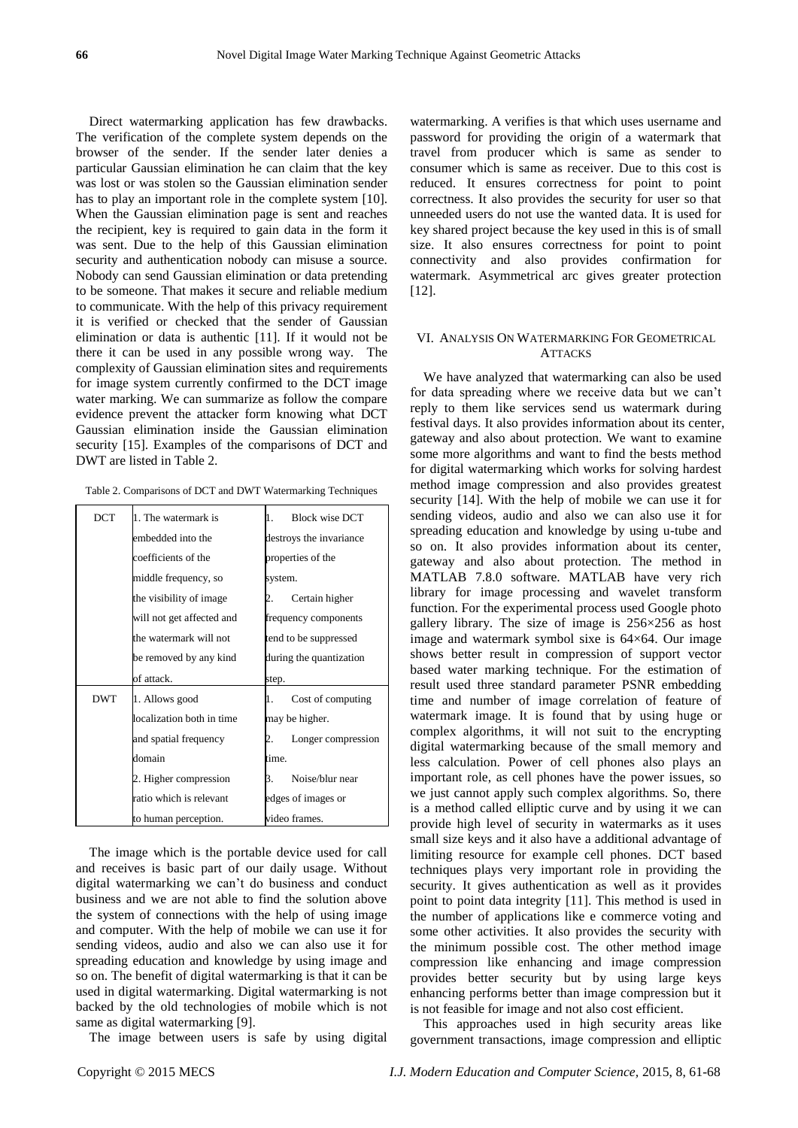Direct watermarking application has few drawbacks. The verification of the complete system depends on the browser of the sender. If the sender later denies a particular Gaussian elimination he can claim that the key was lost or was stolen so the Gaussian elimination sender has to play an important role in the complete system [10]. When the Gaussian elimination page is sent and reaches the recipient, key is required to gain data in the form it was sent. Due to the help of this Gaussian elimination security and authentication nobody can misuse a source. Nobody can send Gaussian elimination or data pretending to be someone. That makes it secure and reliable medium to communicate. With the help of this privacy requirement it is verified or checked that the sender of Gaussian elimination or data is authentic [11]. If it would not be there it can be used in any possible wrong way. The complexity of Gaussian elimination sites and requirements for image system currently confirmed to the DCT image water marking. We can summarize as follow the compare evidence prevent the attacker form knowing what DCT Gaussian elimination inside the Gaussian elimination security [15]. Examples of the comparisons of DCT and DWT are listed in Table 2.

|  |  | Table 2. Comparisons of DCT and DWT Watermarking Techniques |  |
|--|--|-------------------------------------------------------------|--|
|  |  |                                                             |  |

| DCT        | 1. The watermark is       | <b>Block wise DCT</b><br>1. |
|------------|---------------------------|-----------------------------|
|            | embedded into the         | destroys the invariance     |
|            | coefficients of the       | properties of the           |
|            | middle frequency, so      | system.                     |
|            | the visibility of image   | Certain higher              |
|            | will not get affected and | frequency components        |
|            | the watermark will not    | tend to be suppressed       |
|            | be removed by any kind    | during the quantization     |
|            |                           |                             |
|            | of attack.                | step.                       |
| <b>DWT</b> | 1. Allows good            | Cost of computing<br>1.     |
|            | localization both in time | may be higher.              |
|            | and spatial frequency     | Longer compression          |
|            | domain                    | time.                       |
|            | 2. Higher compression     | Noise/blur near<br>3.       |
|            | ratio which is relevant   | edges of images or          |

The image which is the portable device used for call and receives is basic part of our daily usage. Without digital watermarking we can't do business and conduct business and we are not able to find the solution above the system of connections with the help of using image and computer. With the help of mobile we can use it for sending videos, audio and also we can also use it for spreading education and knowledge by using image and so on. The benefit of digital watermarking is that it can be used in digital watermarking. Digital watermarking is not backed by the old technologies of mobile which is not same as digital watermarking [9].

The image between users is safe by using digital

watermarking. A verifies is that which uses username and password for providing the origin of a watermark that travel from producer which is same as sender to consumer which is same as receiver. Due to this cost is reduced. It ensures correctness for point to point correctness. It also provides the security for user so that unneeded users do not use the wanted data. It is used for key shared project because the key used in this is of small size. It also ensures correctness for point to point connectivity and also provides confirmation for watermark. Asymmetrical arc gives greater protection [12].

# VI. ANALYSIS ON WATERMARKING FOR GEOMETRICAL **ATTACKS**

We have analyzed that watermarking can also be used for data spreading where we receive data but we can't reply to them like services send us watermark during festival days. It also provides information about its center, gateway and also about protection. We want to examine some more algorithms and want to find the bests method for digital watermarking which works for solving hardest method image compression and also provides greatest security [14]. With the help of mobile we can use it for sending videos, audio and also we can also use it for spreading education and knowledge by using u-tube and so on. It also provides information about its center, gateway and also about protection. The method in MATLAB 7.8.0 software. MATLAB have very rich library for image processing and wavelet transform function. For the experimental process used Google photo gallery library. The size of image is  $256\times256$  as host image and watermark symbol sixe is 64×64. Our image shows better result in compression of support vector based water marking technique. For the estimation of result used three standard parameter PSNR embedding time and number of image correlation of feature of watermark image. It is found that by using huge or complex algorithms, it will not suit to the encrypting digital watermarking because of the small memory and less calculation. Power of cell phones also plays an important role, as cell phones have the power issues, so we just cannot apply such complex algorithms. So, there is a method called elliptic curve and by using it we can provide high level of security in watermarks as it uses small size keys and it also have a additional advantage of limiting resource for example cell phones. DCT based techniques plays very important role in providing the security. It gives authentication as well as it provides point to point data integrity [11]. This method is used in the number of applications like e commerce voting and some other activities. It also provides the security with the minimum possible cost. The other method image compression like enhancing and image compression provides better security but by using large keys enhancing performs better than image compression but it is not feasible for image and not also cost efficient.

This approaches used in high security areas like government transactions, image compression and elliptic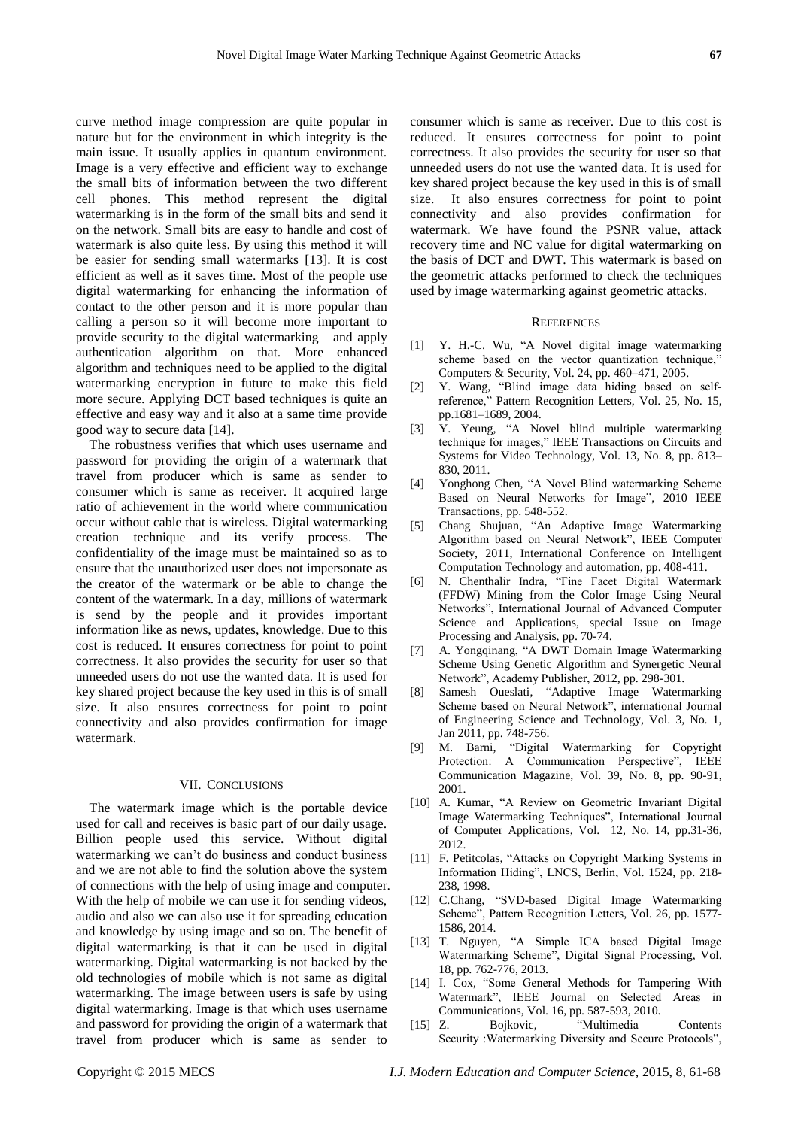curve method image compression are quite popular in nature but for the environment in which integrity is the main issue. It usually applies in quantum environment. Image is a very effective and efficient way to exchange the small bits of information between the two different cell phones. This method represent the digital watermarking is in the form of the small bits and send it on the network. Small bits are easy to handle and cost of watermark is also quite less. By using this method it will be easier for sending small watermarks [13]. It is cost efficient as well as it saves time. Most of the people use digital watermarking for enhancing the information of contact to the other person and it is more popular than calling a person so it will become more important to provide security to the digital watermarking and apply authentication algorithm on that. More enhanced algorithm and techniques need to be applied to the digital watermarking encryption in future to make this field more secure. Applying DCT based techniques is quite an effective and easy way and it also at a same time provide good way to secure data [14].

The robustness verifies that which uses username and password for providing the origin of a watermark that travel from producer which is same as sender to consumer which is same as receiver. It acquired large ratio of achievement in the world where communication occur without cable that is wireless. Digital watermarking creation technique and its verify process. The confidentiality of the image must be maintained so as to ensure that the unauthorized user does not impersonate as the creator of the watermark or be able to change the content of the watermark. In a day, millions of watermark is send by the people and it provides important information like as news, updates, knowledge. Due to this cost is reduced. It ensures correctness for point to point correctness. It also provides the security for user so that unneeded users do not use the wanted data. It is used for key shared project because the key used in this is of small size. It also ensures correctness for point to point connectivity and also provides confirmation for image watermark.

## VII. CONCLUSIONS

The watermark image which is the portable device used for call and receives is basic part of our daily usage. Billion people used this service. Without digital watermarking we can't do business and conduct business and we are not able to find the solution above the system of connections with the help of using image and computer. With the help of mobile we can use it for sending videos, audio and also we can also use it for spreading education and knowledge by using image and so on. The benefit of digital watermarking is that it can be used in digital watermarking. Digital watermarking is not backed by the old technologies of mobile which is not same as digital watermarking. The image between users is safe by using digital watermarking. Image is that which uses username and password for providing the origin of a watermark that travel from producer which is same as sender to

consumer which is same as receiver. Due to this cost is reduced. It ensures correctness for point to point correctness. It also provides the security for user so that unneeded users do not use the wanted data. It is used for key shared project because the key used in this is of small size. It also ensures correctness for point to point connectivity and also provides confirmation for watermark. We have found the PSNR value, attack recovery time and NC value for digital watermarking on the basis of DCT and DWT. This watermark is based on the geometric attacks performed to check the techniques used by image watermarking against geometric attacks.

# **REFERENCES**

- [1] Y. H.-C. Wu, "A Novel digital image watermarking scheme based on the vector quantization technique, Computers & Security, Vol. 24, pp. 460–471, 2005.
- $[2]$  Y. Wang, "Blind image data hiding based on selfreference," Pattern Recognition Letters, Vol. 25, No. 15, pp.1681–1689, 2004.
- [3] Y. Yeung, "A Novel blind multiple watermarking technique for images," IEEE Transactions on Circuits and Systems for Video Technology, Vol. 13, No. 8, pp. 813– 830, 2011.
- [4] Yonghong Chen, "A Novel Blind watermarking Scheme Based on Neural Networks for Image", 2010 IEEE Transactions, pp. 548-552.
- [5] Chang Shujuan, "An Adaptive Image Watermarking Algorithm based on Neural Network", IEEE Computer Society, 2011, International Conference on Intelligent Computation Technology and automation, pp. 408-411.
- [6] N. Chenthalir Indra, "Fine Facet Digital Watermark (FFDW) Mining from the Color Image Using Neural Networks‖, International Journal of Advanced Computer Science and Applications, special Issue on Image Processing and Analysis, pp. 70-74.
- [7] A. Yongqinang, "A DWT Domain Image Watermarking Scheme Using Genetic Algorithm and Synergetic Neural Network", Academy Publisher, 2012, pp. 298-301.
- [8] Samesh Oueslati, "Adaptive Image Watermarking Scheme based on Neural Network", international Journal of Engineering Science and Technology, Vol. 3, No. 1, Jan 2011, pp. 748-756.
- [9] M. Barni, "Digital Watermarking for Copyright Protection: A Communication Perspective", IEEE Communication Magazine, Vol. 39, No. 8, pp. 90-91, 2001.
- [10] A. Kumar, "A Review on Geometric Invariant Digital Image Watermarking Techniques", International Journal of Computer Applications, Vol. 12, No. 14, pp.31-36, 2012.
- [11] F. Petitcolas, "Attacks on Copyright Marking Systems in Information Hiding", LNCS, Berlin, Vol. 1524, pp. 218-238, 1998.
- [12] C.Chang, "SVD-based Digital Image Watermarking Scheme", Pattern Recognition Letters, Vol. 26, pp. 1577-1586, 2014.
- [13] T. Nguyen, "A Simple ICA based Digital Image Watermarking Scheme", Digital Signal Processing, Vol. 18, pp. 762-776, 2013.
- [14] I. Cox, "Some General Methods for Tampering With Watermark", IEEE Journal on Selected Areas in Communications, Vol. 16, pp. 587-593, 2010.
- [15] Z. Bojkovic, "Multimedia Contents Security :Watermarking Diversity and Secure Protocols",